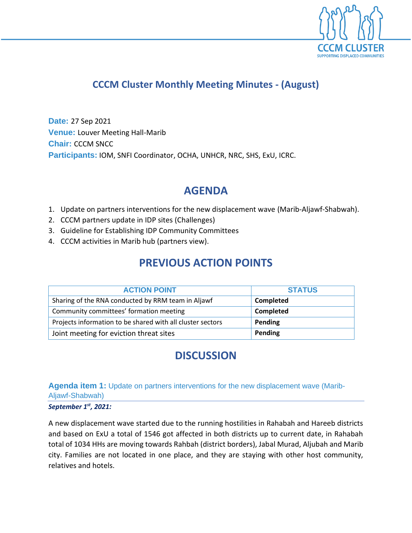

## **CCCM Cluster Monthly Meeting Minutes - (August)**

**Date:** 27 Sep 2021 **Venue:** Louver Meeting Hall-Marib **Chair:** CCCM SNCC **Participants:** IOM, SNFI Coordinator, OCHA, UNHCR, NRC, SHS, ExU, ICRC.

# **AGENDA**

- 1. Update on partners interventions for the new displacement wave (Marib-Aljawf-Shabwah).
- 2. CCCM partners update in IDP sites (Challenges)
- 3. Guideline for Establishing IDP Community Committees
- 4. CCCM activities in Marib hub (partners view).

## **PREVIOUS ACTION POINTS**

| <b>ACTION POINT</b>                                        | <b>STATUS</b> |  |
|------------------------------------------------------------|---------------|--|
| Sharing of the RNA conducted by RRM team in Aljawf         | Completed     |  |
| Community committees' formation meeting                    | Completed     |  |
| Projects information to be shared with all cluster sectors | Pending       |  |
| Joint meeting for eviction threat sites                    | Pending       |  |

## **DISCUSSION**

## **Agenda item 1:** Update on partners interventions for the new displacement wave (Marib-Aljawf-Shabwah)

#### *September 1 st, 2021:*

A new displacement wave started due to the running hostilities in Rahabah and Hareeb districts and based on ExU a total of 1546 got affected in both districts up to current date, in Rahabah total of 1034 HHs are moving towards Rahbah (district borders), Jabal Murad, Aljubah and Marib city. Families are not located in one place, and they are staying with other host community, relatives and hotels.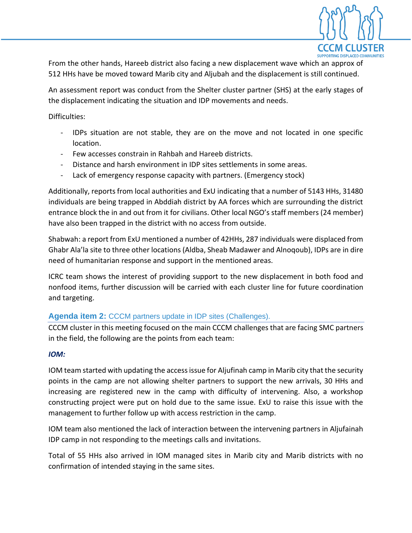

From the other hands, Hareeb district also facing a new displacement wave which an approx of 512 HHs have be moved toward Marib city and Aljubah and the displacement is still continued.

An assessment report was conduct from the Shelter cluster partner (SHS) at the early stages of the displacement indicating the situation and IDP movements and needs.

Difficulties:

- IDPs situation are not stable, they are on the move and not located in one specific location.
- Few accesses constrain in Rahbah and Hareeb districts.
- Distance and harsh environment in IDP sites settlements in some areas.
- Lack of emergency response capacity with partners. (Emergency stock)

Additionally, reports from local authorities and ExU indicating that a number of 5143 HHs, 31480 individuals are being trapped in Abddiah district by AA forces which are surrounding the district entrance block the in and out from it for civilians. Other local NGO's staff members (24 member) have also been trapped in the district with no access from outside.

Shabwah: a report from ExU mentioned a number of 42HHs, 287 individuals were displaced from Ghabr Ala'la site to three other locations (Aldba, Sheab Madawer and Alnoqoub), IDPs are in dire need of humanitarian response and support in the mentioned areas.

ICRC team shows the interest of providing support to the new displacement in both food and nonfood items, further discussion will be carried with each cluster line for future coordination and targeting.

## **Agenda item 2:** CCCM partners update in IDP sites (Challenges).

CCCM cluster in this meeting focused on the main CCCM challenges that are facing SMC partners in the field, the following are the points from each team:

#### *IOM:*

IOM team started with updating the access issue for Aljufinah camp in Marib city that the security points in the camp are not allowing shelter partners to support the new arrivals, 30 HHs and increasing are registered new in the camp with difficulty of intervening. Also, a workshop constructing project were put on hold due to the same issue. ExU to raise this issue with the management to further follow up with access restriction in the camp.

IOM team also mentioned the lack of interaction between the intervening partners in Aljufainah IDP camp in not responding to the meetings calls and invitations.

Total of 55 HHs also arrived in IOM managed sites in Marib city and Marib districts with no confirmation of intended staying in the same sites.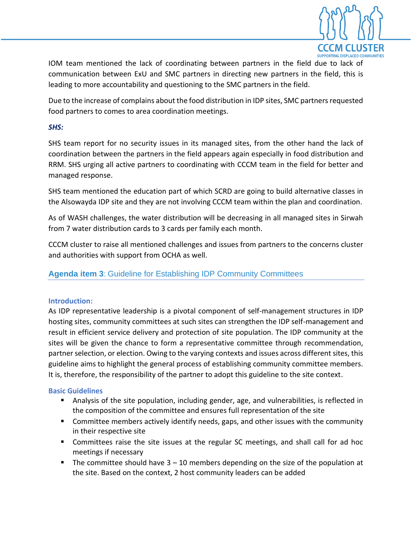

IOM team mentioned the lack of coordinating between partners in the field due to lack of communication between ExU and SMC partners in directing new partners in the field, this is leading to more accountability and questioning to the SMC partners in the field.

Due to the increase of complains about the food distribution in IDP sites, SMC partners requested food partners to comes to area coordination meetings.

#### *SHS:*

SHS team report for no security issues in its managed sites, from the other hand the lack of coordination between the partners in the field appears again especially in food distribution and RRM. SHS urging all active partners to coordinating with CCCM team in the field for better and managed response.

SHS team mentioned the education part of which SCRD are going to build alternative classes in the Alsowayda IDP site and they are not involving CCCM team within the plan and coordination.

As of WASH challenges, the water distribution will be decreasing in all managed sites in Sirwah from 7 water distribution cards to 3 cards per family each month.

CCCM cluster to raise all mentioned challenges and issues from partners to the concerns cluster and authorities with support from OCHA as well.

## **Agenda item 3**: Guideline for Establishing IDP Community Committees

#### **Introduction:**

As IDP representative leadership is a pivotal component of self-management structures in IDP hosting sites, community committees at such sites can strengthen the IDP self-management and result in efficient service delivery and protection of site population. The IDP community at the sites will be given the chance to form a representative committee through recommendation, partner selection, or election. Owing to the varying contexts and issues across different sites, this guideline aims to highlight the general process of establishing community committee members. It is, therefore, the responsibility of the partner to adopt this guideline to the site context.

#### **Basic Guidelines**

- **E** Analysis of the site population, including gender, age, and vulnerabilities, is reflected in the composition of the committee and ensures full representation of the site
- Committee members actively identify needs, gaps, and other issues with the community in their respective site
- Committees raise the site issues at the regular SC meetings, and shall call for ad hoc meetings if necessary
- **•** The committee should have  $3 10$  members depending on the size of the population at the site. Based on the context, 2 host community leaders can be added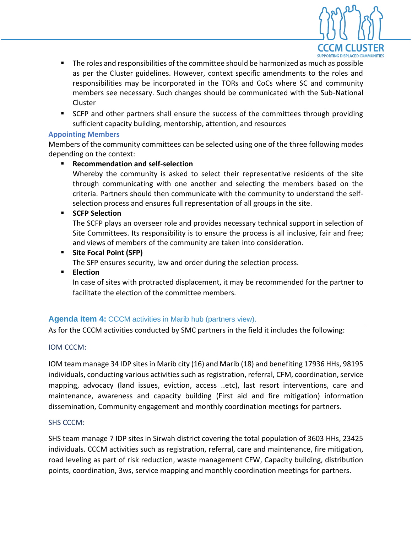

- The roles and responsibilities of the committee should be harmonized as much as possible as per the Cluster guidelines. However, context specific amendments to the roles and responsibilities may be incorporated in the TORs and CoCs where SC and community members see necessary. Such changes should be communicated with the Sub-National Cluster
- SCFP and other partners shall ensure the success of the committees through providing sufficient capacity building, mentorship, attention, and resources

### **Appointing Members**

Members of the community committees can be selected using one of the three following modes depending on the context:

## ▪ **Recommendation and self-selection**

Whereby the community is asked to select their representative residents of the site through communicating with one another and selecting the members based on the criteria. Partners should then communicate with the community to understand the selfselection process and ensures full representation of all groups in the site.

## ▪ **SCFP Selection**

The SCFP plays an overseer role and provides necessary technical support in selection of Site Committees. Its responsibility is to ensure the process is all inclusive, fair and free; and views of members of the community are taken into consideration.

## ▪ **Site Focal Point (SFP)**

The SFP ensures security, law and order during the selection process.

▪ **Election** 

In case of sites with protracted displacement, it may be recommended for the partner to facilitate the election of the committee members.

## **Agenda item 4:** CCCM activities in Marib hub (partners view).

As for the CCCM activities conducted by SMC partners in the field it includes the following:

### IOM CCCM:

IOM team manage 34 IDP sites in Marib city (16) and Marib (18) and benefiting 17936 HHs, 98195 individuals, conducting various activities such as registration, referral, CFM, coordination, service mapping, advocacy (land issues, eviction, access ..etc), last resort interventions, care and maintenance, awareness and capacity building (First aid and fire mitigation) information dissemination, Community engagement and monthly coordination meetings for partners.

### SHS CCCM:

SHS team manage 7 IDP sites in Sirwah district covering the total population of 3603 HHs, 23425 individuals. CCCM activities such as registration, referral, care and maintenance, fire mitigation, road leveling as part of risk reduction, waste management CFW, Capacity building, distribution points, coordination, 3ws, service mapping and monthly coordination meetings for partners.